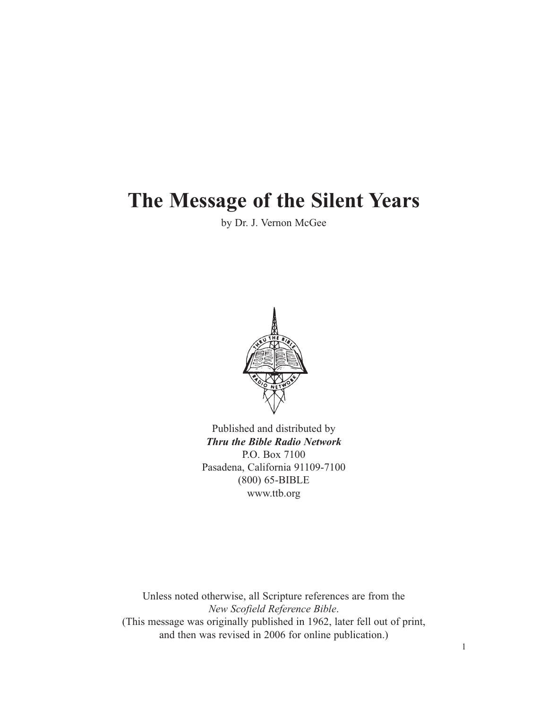# **The Message of the Silent Years**

by Dr. J. Vernon McGee



Published and distributed by *Thru the Bible Radio Network* P.O. Box 7100 Pasadena, California 91109-7100 (800) 65-BIBLE www.ttb.org

Unless noted otherwise, all Scripture references are from the *New Scofield Reference Bible*. (This message was originally published in 1962, later fell out of print, and then was revised in 2006 for online publication.)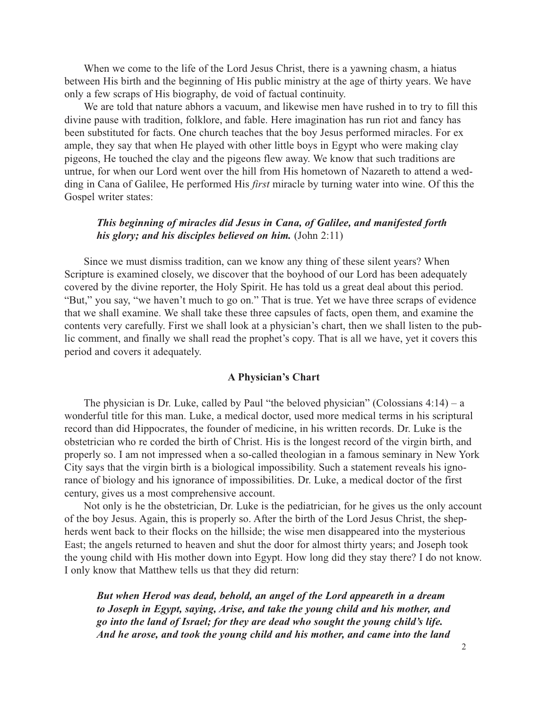When we come to the life of the Lord Jesus Christ, there is a yawning chasm, a hiatus between His birth and the beginning of His public ministry at the age of thirty years. We have only a few scraps of His biography, de void of factual continuity.

We are told that nature abhors a vacuum, and likewise men have rushed in to try to fill this divine pause with tradition, folklore, and fable. Here imagination has run riot and fancy has been substituted for facts. One church teaches that the boy Jesus performed miracles. For ex ample, they say that when He played with other little boys in Egypt who were making clay pigeons, He touched the clay and the pigeons flew away. We know that such traditions are untrue, for when our Lord went over the hill from His hometown of Nazareth to attend a wedding in Cana of Galilee, He performed His *first* miracle by turning water into wine. Of this the Gospel writer states:

# *This beginning of miracles did Jesus in Cana, of Galilee, and manifested forth his glory; and his disciples believed on him.* (John 2:11)

Since we must dismiss tradition, can we know any thing of these silent years? When Scripture is examined closely, we discover that the boyhood of our Lord has been adequately covered by the divine reporter, the Holy Spirit. He has told us a great deal about this period. "But," you say, "we haven't much to go on." That is true. Yet we have three scraps of evidence that we shall examine. We shall take these three capsules of facts, open them, and examine the contents very carefully. First we shall look at a physician's chart, then we shall listen to the public comment, and finally we shall read the prophet's copy. That is all we have, yet it covers this period and covers it adequately.

#### **A Physician's Chart**

The physician is Dr. Luke, called by Paul "the beloved physician" (Colossians  $4:14$ ) – a wonderful title for this man. Luke, a medical doctor, used more medical terms in his scriptural record than did Hippocrates, the founder of medicine, in his written records. Dr. Luke is the obstetrician who re corded the birth of Christ. His is the longest record of the virgin birth, and properly so. I am not impressed when a so-called theologian in a famous seminary in New York City says that the virgin birth is a biological impossibility. Such a statement reveals his ignorance of biology and his ignorance of impossibilities. Dr. Luke, a medical doctor of the first century, gives us a most comprehensive account.

Not only is he the obstetrician, Dr. Luke is the pediatrician, for he gives us the only account of the boy Jesus. Again, this is properly so. After the birth of the Lord Jesus Christ, the shepherds went back to their flocks on the hillside; the wise men disappeared into the mysterious East; the angels returned to heaven and shut the door for almost thirty years; and Joseph took the young child with His mother down into Egypt. How long did they stay there? I do not know. I only know that Matthew tells us that they did return:

*But when Herod was dead, behold, an angel of the Lord appeareth in a dream to Joseph in Egypt, saying, Arise, and take the young child and his mother, and go into the land of Israel; for they are dead who sought the young child's life. And he arose, and took the young child and his mother, and came into the land*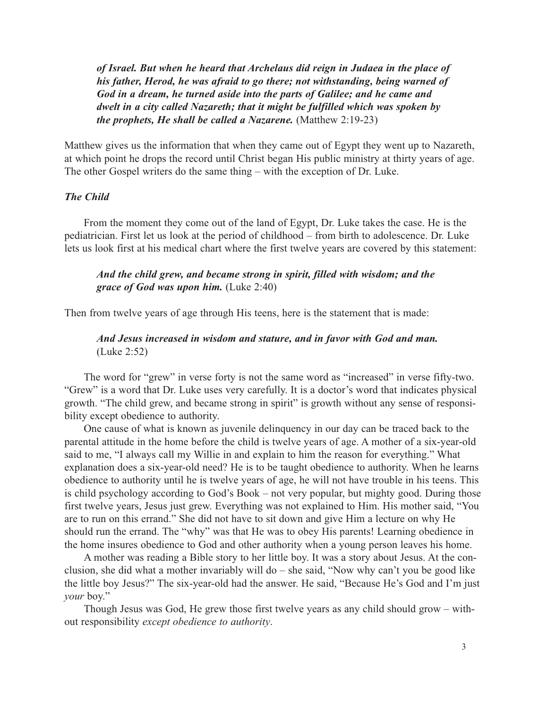*of Israel. But when he heard that Archelaus did reign in Judaea in the place of his father, Herod, he was afraid to go there; not withstanding, being warned of God in a dream, he turned aside into the parts of Galilee; and he came and dwelt in a city called Nazareth; that it might be fulfilled which was spoken by the prophets, He shall be called a Nazarene.* (Matthew 2:19-23)

Matthew gives us the information that when they came out of Egypt they went up to Nazareth, at which point he drops the record until Christ began His public ministry at thirty years of age. The other Gospel writers do the same thing – with the exception of Dr. Luke.

# *The Child*

From the moment they come out of the land of Egypt, Dr. Luke takes the case. He is the pediatrician. First let us look at the period of childhood – from birth to adolescence. Dr. Luke lets us look first at his medical chart where the first twelve years are covered by this statement:

## *And the child grew, and became strong in spirit, filled with wisdom; and the grace of God was upon him.* (Luke 2:40)

Then from twelve years of age through His teens, here is the statement that is made:

# *And Jesus increased in wisdom and stature, and in favor with God and man.* (Luke 2:52)

The word for "grew" in verse forty is not the same word as "increased" in verse fifty-two. "Grew" is a word that Dr. Luke uses very carefully. It is a doctor's word that indicates physical growth. "The child grew, and became strong in spirit" is growth without any sense of responsibility except obedience to authority.

One cause of what is known as juvenile delinquency in our day can be traced back to the parental attitude in the home before the child is twelve years of age. A mother of a six-year-old said to me, "I always call my Willie in and explain to him the reason for everything." What explanation does a six-year-old need? He is to be taught obedience to authority. When he learns obedience to authority until he is twelve years of age, he will not have trouble in his teens. This is child psychology according to God's Book – not very popular, but mighty good. During those first twelve years, Jesus just grew. Everything was not explained to Him. His mother said, "You are to run on this errand." She did not have to sit down and give Him a lecture on why He should run the errand. The "why" was that He was to obey His parents! Learning obedience in the home insures obedience to God and other authority when a young person leaves his home.

A mother was reading a Bible story to her little boy. It was a story about Jesus. At the conclusion, she did what a mother invariably will do – she said, "Now why can't you be good like the little boy Jesus?" The six-year-old had the answer. He said, "Because He's God and I'm just *your* boy."

Though Jesus was God, He grew those first twelve years as any child should grow – without responsibility *except obedience to authority*.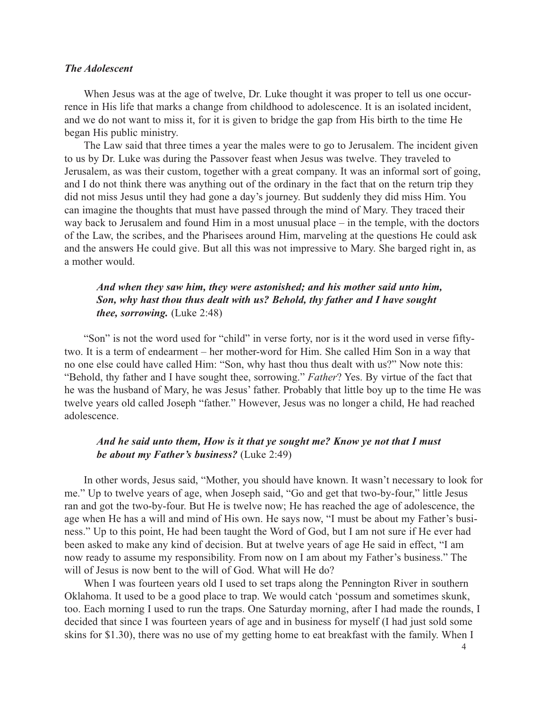## *The Adolescent*

When Jesus was at the age of twelve, Dr. Luke thought it was proper to tell us one occurrence in His life that marks a change from childhood to adolescence. It is an isolated incident, and we do not want to miss it, for it is given to bridge the gap from His birth to the time He began His public ministry.

The Law said that three times a year the males were to go to Jerusalem. The incident given to us by Dr. Luke was during the Passover feast when Jesus was twelve. They traveled to Jerusalem, as was their custom, together with a great company. It was an informal sort of going, and I do not think there was anything out of the ordinary in the fact that on the return trip they did not miss Jesus until they had gone a day's journey. But suddenly they did miss Him. You can imagine the thoughts that must have passed through the mind of Mary. They traced their way back to Jerusalem and found Him in a most unusual place – in the temple, with the doctors of the Law, the scribes, and the Pharisees around Him, marveling at the questions He could ask and the answers He could give. But all this was not impressive to Mary. She barged right in, as a mother would.

# *And when they saw him, they were astonished; and his mother said unto him, Son, why hast thou thus dealt with us? Behold, thy father and I have sought thee, sorrowing.* (Luke 2:48)

"Son" is not the word used for "child" in verse forty, nor is it the word used in verse fiftytwo. It is a term of endearment – her mother-word for Him. She called Him Son in a way that no one else could have called Him: "Son, why hast thou thus dealt with us?" Now note this: "Behold, thy father and I have sought thee, sorrowing." *Father*? Yes. By virtue of the fact that he was the husband of Mary, he was Jesus' father. Probably that little boy up to the time He was twelve years old called Joseph "father." However, Jesus was no longer a child, He had reached adolescence.

## *And he said unto them, How is it that ye sought me? Know ye not that I must be about my Father's business?* (Luke 2:49)

In other words, Jesus said, "Mother, you should have known. It wasn't necessary to look for me." Up to twelve years of age, when Joseph said, "Go and get that two-by-four," little Jesus ran and got the two-by-four. But He is twelve now; He has reached the age of adolescence, the age when He has a will and mind of His own. He says now, "I must be about my Father's business." Up to this point, He had been taught the Word of God, but I am not sure if He ever had been asked to make any kind of decision. But at twelve years of age He said in effect, "I am now ready to assume my responsibility. From now on I am about my Father's business." The will of Jesus is now bent to the will of God. What will He do?

When I was fourteen years old I used to set traps along the Pennington River in southern Oklahoma. It used to be a good place to trap. We would catch 'possum and sometimes skunk, too. Each morning I used to run the traps. One Saturday morning, after I had made the rounds, I decided that since I was fourteen years of age and in business for myself (I had just sold some skins for \$1.30), there was no use of my getting home to eat breakfast with the family. When I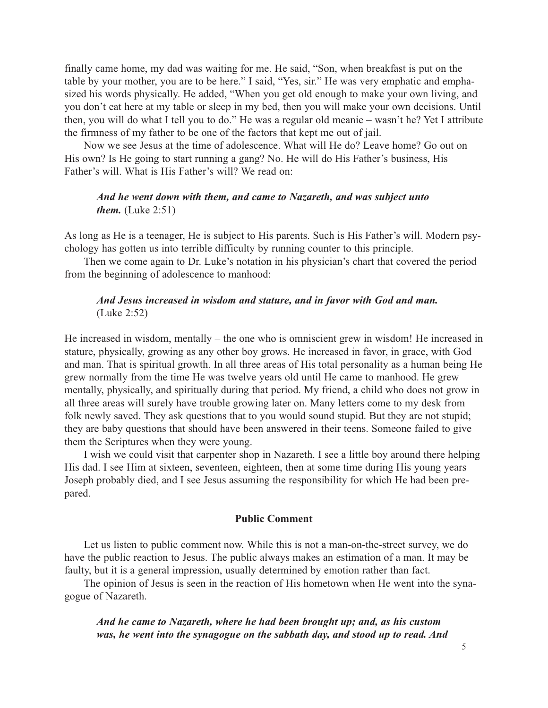finally came home, my dad was waiting for me. He said, "Son, when breakfast is put on the table by your mother, you are to be here." I said, "Yes, sir." He was very emphatic and emphasized his words physically. He added, "When you get old enough to make your own living, and you don't eat here at my table or sleep in my bed, then you will make your own decisions. Until then, you will do what I tell you to do." He was a regular old meanie – wasn't he? Yet I attribute the firmness of my father to be one of the factors that kept me out of jail.

Now we see Jesus at the time of adolescence. What will He do? Leave home? Go out on His own? Is He going to start running a gang? No. He will do His Father's business, His Father's will. What is His Father's will? We read on:

## *And he went down with them, and came to Nazareth, and was subject unto them.* (Luke 2:51)

As long as He is a teenager, He is subject to His parents. Such is His Father's will. Modern psychology has gotten us into terrible difficulty by running counter to this principle.

Then we come again to Dr. Luke's notation in his physician's chart that covered the period from the beginning of adolescence to manhood:

## *And Jesus increased in wisdom and stature, and in favor with God and man.* (Luke 2:52)

He increased in wisdom, mentally – the one who is omniscient grew in wisdom! He increased in stature, physically, growing as any other boy grows. He increased in favor, in grace, with God and man. That is spiritual growth. In all three areas of His total personality as a human being He grew normally from the time He was twelve years old until He came to manhood. He grew mentally, physically, and spiritually during that period. My friend, a child who does not grow in all three areas will surely have trouble growing later on. Many letters come to my desk from folk newly saved. They ask questions that to you would sound stupid. But they are not stupid; they are baby questions that should have been answered in their teens. Someone failed to give them the Scriptures when they were young.

I wish we could visit that carpenter shop in Nazareth. I see a little boy around there helping His dad. I see Him at sixteen, seventeen, eighteen, then at some time during His young years Joseph probably died, and I see Jesus assuming the responsibility for which He had been prepared.

#### **Public Comment**

Let us listen to public comment now. While this is not a man-on-the-street survey, we do have the public reaction to Jesus. The public always makes an estimation of a man. It may be faulty, but it is a general impression, usually determined by emotion rather than fact.

The opinion of Jesus is seen in the reaction of His hometown when He went into the synagogue of Nazareth.

*And he came to Nazareth, where he had been brought up; and, as his custom was, he went into the synagogue on the sabbath day, and stood up to read. And*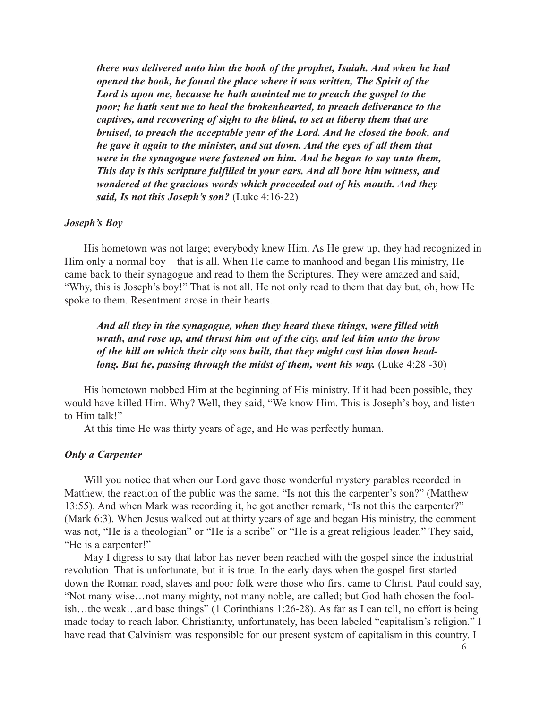*there was delivered unto him the book of the prophet, Isaiah. And when he had opened the book, he found the place where it was written, The Spirit of the Lord is upon me, because he hath anointed me to preach the gospel to the poor; he hath sent me to heal the brokenhearted, to preach deliverance to the captives, and recovering of sight to the blind, to set at liberty them that are bruised, to preach the acceptable year of the Lord. And he closed the book, and he gave it again to the minister, and sat down. And the eyes of all them that were in the synagogue were fastened on him. And he began to say unto them, This day is this scripture fulfilled in your ears. And all bore him witness, and wondered at the gracious words which proceeded out of his mouth. And they said, Is not this Joseph's son?* (Luke 4:16-22)

#### *Joseph's Boy*

His hometown was not large; everybody knew Him. As He grew up, they had recognized in Him only a normal boy – that is all. When He came to manhood and began His ministry, He came back to their synagogue and read to them the Scriptures. They were amazed and said, "Why, this is Joseph's boy!" That is not all. He not only read to them that day but, oh, how He spoke to them. Resentment arose in their hearts.

*And all they in the synagogue, when they heard these things, were filled with wrath, and rose up, and thrust him out of the city, and led him unto the brow of the hill on which their city was built, that they might cast him down headlong. But he, passing through the midst of them, went his way.* (Luke 4:28 -30)

His hometown mobbed Him at the beginning of His ministry. If it had been possible, they would have killed Him. Why? Well, they said, "We know Him. This is Joseph's boy, and listen to Him talk!"

At this time He was thirty years of age, and He was perfectly human.

#### *Only a Carpenter*

Will you notice that when our Lord gave those wonderful mystery parables recorded in Matthew, the reaction of the public was the same. "Is not this the carpenter's son?" (Matthew 13:55). And when Mark was recording it, he got another remark, "Is not this the carpenter?" (Mark 6:3). When Jesus walked out at thirty years of age and began His ministry, the comment was not, "He is a theologian" or "He is a scribe" or "He is a great religious leader." They said, "He is a carpenter!"

May I digress to say that labor has never been reached with the gospel since the industrial revolution. That is unfortunate, but it is true. In the early days when the gospel first started down the Roman road, slaves and poor folk were those who first came to Christ. Paul could say, "Not many wise…not many mighty, not many noble, are called; but God hath chosen the foolish…the weak…and base things" (1 Corinthians 1:26-28). As far as I can tell, no effort is being made today to reach labor. Christianity, unfortunately, has been labeled "capitalism's religion." I have read that Calvinism was responsible for our present system of capitalism in this country. I

6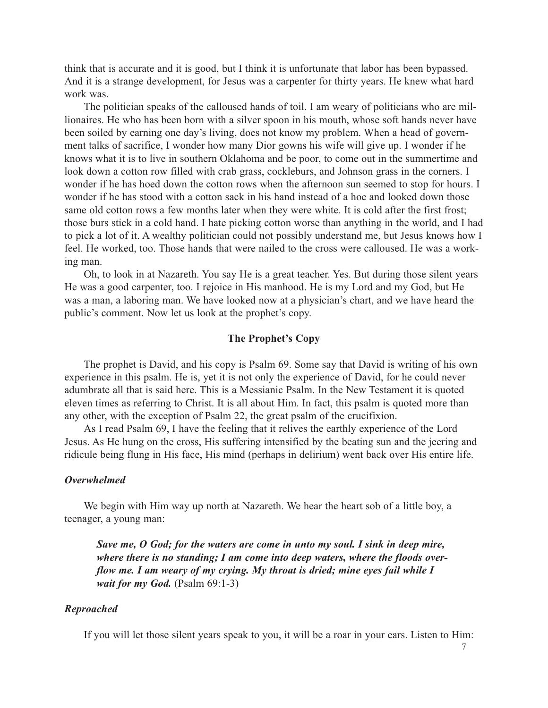think that is accurate and it is good, but I think it is unfortunate that labor has been bypassed. And it is a strange development, for Jesus was a carpenter for thirty years. He knew what hard work was.

The politician speaks of the calloused hands of toil. I am weary of politicians who are millionaires. He who has been born with a silver spoon in his mouth, whose soft hands never have been soiled by earning one day's living, does not know my problem. When a head of government talks of sacrifice, I wonder how many Dior gowns his wife will give up. I wonder if he knows what it is to live in southern Oklahoma and be poor, to come out in the summertime and look down a cotton row filled with crab grass, cockleburs, and Johnson grass in the corners. I wonder if he has hoed down the cotton rows when the afternoon sun seemed to stop for hours. I wonder if he has stood with a cotton sack in his hand instead of a hoe and looked down those same old cotton rows a few months later when they were white. It is cold after the first frost; those burs stick in a cold hand. I hate picking cotton worse than anything in the world, and I had to pick a lot of it. A wealthy politician could not possibly understand me, but Jesus knows how I feel. He worked, too. Those hands that were nailed to the cross were calloused. He was a working man.

Oh, to look in at Nazareth. You say He is a great teacher. Yes. But during those silent years He was a good carpenter, too. I rejoice in His manhood. He is my Lord and my God, but He was a man, a laboring man. We have looked now at a physician's chart, and we have heard the public's comment. Now let us look at the prophet's copy.

## **The Prophet's Copy**

The prophet is David, and his copy is Psalm 69. Some say that David is writing of his own experience in this psalm. He is, yet it is not only the experience of David, for he could never adumbrate all that is said here. This is a Messianic Psalm. In the New Testament it is quoted eleven times as referring to Christ. It is all about Him. In fact, this psalm is quoted more than any other, with the exception of Psalm 22, the great psalm of the crucifixion.

As I read Psalm 69, I have the feeling that it relives the earthly experience of the Lord Jesus. As He hung on the cross, His suffering intensified by the beating sun and the jeering and ridicule being flung in His face, His mind (perhaps in delirium) went back over His entire life.

#### *Overwhelmed*

We begin with Him way up north at Nazareth. We hear the heart sob of a little boy, a teenager, a young man:

*Save me, O God; for the waters are come in unto my soul. I sink in deep mire, where there is no standing; I am come into deep waters, where the floods overflow me. I am weary of my crying. My throat is dried; mine eyes fail while I wait for my God.* (Psalm 69:1-3)

#### *Reproached*

If you will let those silent years speak to you, it will be a roar in your ears. Listen to Him: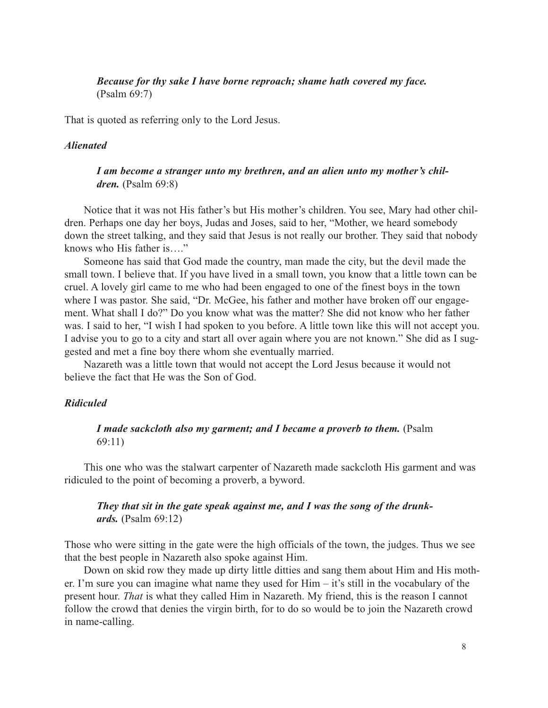*Because for thy sake I have borne reproach; shame hath covered my face.* (Psalm 69:7)

That is quoted as referring only to the Lord Jesus.

## *Alienated*

# *I am become a stranger unto my brethren, and an alien unto my mother's children.* (Psalm 69:8)

Notice that it was not His father's but His mother's children. You see, Mary had other children. Perhaps one day her boys, Judas and Joses, said to her, "Mother, we heard somebody down the street talking, and they said that Jesus is not really our brother. They said that nobody knows who His father is…."

Someone has said that God made the country, man made the city, but the devil made the small town. I believe that. If you have lived in a small town, you know that a little town can be cruel. A lovely girl came to me who had been engaged to one of the finest boys in the town where I was pastor. She said, "Dr. McGee, his father and mother have broken off our engagement. What shall I do?" Do you know what was the matter? She did not know who her father was. I said to her, "I wish I had spoken to you before. A little town like this will not accept you. I advise you to go to a city and start all over again where you are not known." She did as I suggested and met a fine boy there whom she eventually married.

Nazareth was a little town that would not accept the Lord Jesus because it would not believe the fact that He was the Son of God.

## *Ridiculed*

## *I made sackcloth also my garment; and I became a proverb to them.* (Psalm 69:11)

This one who was the stalwart carpenter of Nazareth made sackcloth His garment and was ridiculed to the point of becoming a proverb, a byword.

# *They that sit in the gate speak against me, and I was the song of the drunkards.* (Psalm 69:12)

Those who were sitting in the gate were the high officials of the town, the judges. Thus we see that the best people in Nazareth also spoke against Him.

Down on skid row they made up dirty little ditties and sang them about Him and His mother. I'm sure you can imagine what name they used for Him – it's still in the vocabulary of the present hour. *That* is what they called Him in Nazareth. My friend, this is the reason I cannot follow the crowd that denies the virgin birth, for to do so would be to join the Nazareth crowd in name-calling.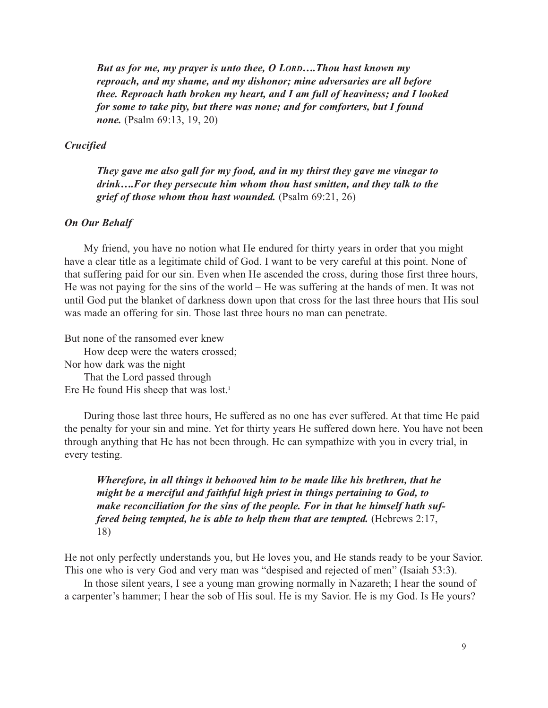*But as for me, my prayer is unto thee, O LORD….Thou hast known my reproach, and my shame, and my dishonor; mine adversaries are all before thee. Reproach hath broken my heart, and I am full of heaviness; and I looked for some to take pity, but there was none; and for comforters, but I found none.* (Psalm 69:13, 19, 20)

#### *Crucified*

*They gave me also gall for my food, and in my thirst they gave me vinegar to drink….For they persecute him whom thou hast smitten, and they talk to the grief of those whom thou hast wounded.* (Psalm 69:21, 26)

#### *On Our Behalf*

My friend, you have no notion what He endured for thirty years in order that you might have a clear title as a legitimate child of God. I want to be very careful at this point. None of that suffering paid for our sin. Even when He ascended the cross, during those first three hours, He was not paying for the sins of the world – He was suffering at the hands of men. It was not until God put the blanket of darkness down upon that cross for the last three hours that His soul was made an offering for sin. Those last three hours no man can penetrate.

But none of the ransomed ever knew

How deep were the waters crossed; Nor how dark was the night That the Lord passed through

Ere He found His sheep that was lost.<sup>1</sup>

During those last three hours, He suffered as no one has ever suffered. At that time He paid the penalty for your sin and mine. Yet for thirty years He suffered down here. You have not been through anything that He has not been through. He can sympathize with you in every trial, in every testing.

*Wherefore, in all things it behooved him to be made like his brethren, that he might be a merciful and faithful high priest in things pertaining to God, to make reconciliation for the sins of the people. For in that he himself hath suffered being tempted, he is able to help them that are tempted.* (Hebrews 2:17, 18)

He not only perfectly understands you, but He loves you, and He stands ready to be your Savior. This one who is very God and very man was "despised and rejected of men" (Isaiah 53:3).

In those silent years, I see a young man growing normally in Nazareth; I hear the sound of a carpenter's hammer; I hear the sob of His soul. He is my Savior. He is my God. Is He yours?